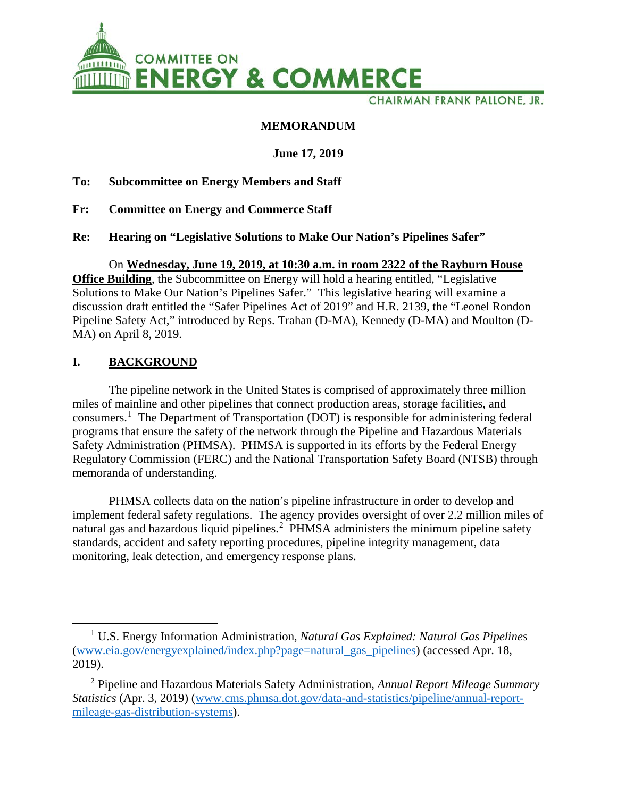

CHAIRMAN FRANK PALLONE, JR.

# **MEMORANDUM**

# **June 17, 2019**

**To: Subcommittee on Energy Members and Staff** 

**Fr: Committee on Energy and Commerce Staff** 

**Re: Hearing on "Legislative Solutions to Make Our Nation's Pipelines Safer"** 

# On **Wednesday, June 19, 2019, at 10:30 a.m. in room 2322 of the Rayburn House**

**Office Building**, the Subcommittee on Energy will hold a hearing entitled, "Legislative" Solutions to Make Our Nation's Pipelines Safer." This legislative hearing will examine a discussion draft entitled the "Safer Pipelines Act of 2019" and H.R. 2139, the "Leonel Rondon Pipeline Safety Act," introduced by Reps. Trahan (D-MA), Kennedy (D-MA) and Moulton (D-MA) on April 8, 2019.

# **I. BACKGROUND**

l

The pipeline network in the United States is comprised of approximately three million miles of mainline and other pipelines that connect production areas, storage facilities, and consumers.<sup>[1](#page-0-0)</sup> The Department of Transportation (DOT) is responsible for administering federal programs that ensure the safety of the network through the Pipeline and Hazardous Materials Safety Administration (PHMSA). PHMSA is supported in its efforts by the Federal Energy Regulatory Commission (FERC) and the National Transportation Safety Board (NTSB) through memoranda of understanding.

PHMSA collects data on the nation's pipeline infrastructure in order to develop and implement federal safety regulations. The agency provides oversight of over 2.2 million miles of natural gas and hazardous liquid pipelines.<sup>[2](#page-0-1)</sup> PHMSA administers the minimum pipeline safety standards, accident and safety reporting procedures, pipeline integrity management, data monitoring, leak detection, and emergency response plans.

<span id="page-0-0"></span><sup>1</sup> U.S. Energy Information Administration, *Natural Gas Explained: Natural Gas Pipelines*  [\(www.eia.gov/energyexplained/index.php?page=natural\\_gas\\_pipelines\)](http://www.eia.gov/energyexplained/index.php?page=natural_gas_pipelines) (accessed Apr. 18, 2019).

<span id="page-0-1"></span><sup>2</sup> Pipeline and Hazardous Materials Safety Administration, *Annual Report Mileage Summary Statistics* (Apr. 3, 2019) [\(www.cms.phmsa.dot.gov/data-and-statistics/pipeline/annual-report](http://www.cms.phmsa.dot.gov/data-and-statistics/pipeline/annual-report-mileage-gas-distribution-systems)[mileage-gas-distribution-systems\)](http://www.cms.phmsa.dot.gov/data-and-statistics/pipeline/annual-report-mileage-gas-distribution-systems).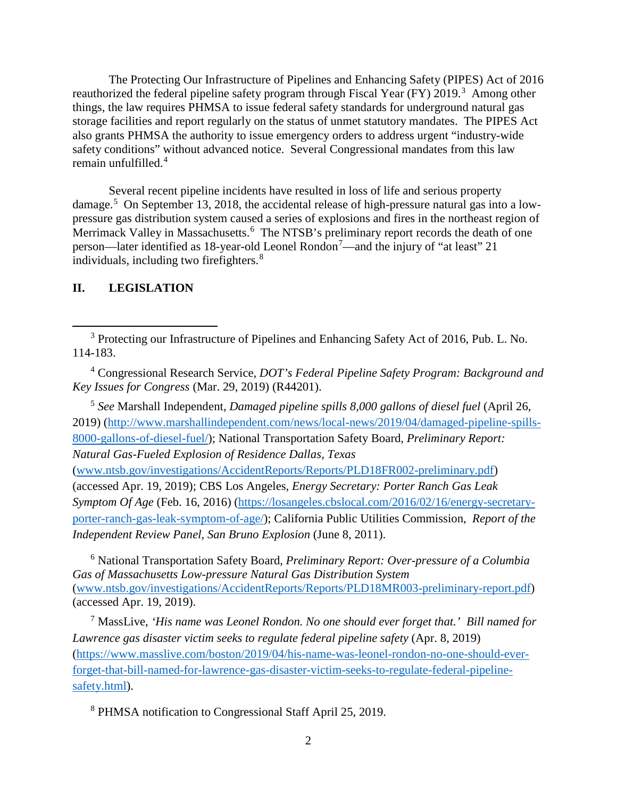The Protecting Our Infrastructure of Pipelines and Enhancing Safety (PIPES) Act of 2016 reauthorized the federal pipeline safety program through Fiscal Year (FY)  $2019$ .<sup>[3](#page-1-0)</sup> Among other things, the law requires PHMSA to issue federal safety standards for underground natural gas storage facilities and report regularly on the status of unmet statutory mandates. The PIPES Act also grants PHMSA the authority to issue emergency orders to address urgent "industry-wide safety conditions" without advanced notice. Several Congressional mandates from this law remain unfulfilled.[4](#page-1-1)

Several recent pipeline incidents have resulted in loss of life and serious property damage.<sup>[5](#page-1-2)</sup> On September 13, 2018, the accidental release of high-pressure natural gas into a lowpressure gas distribution system caused a series of explosions and fires in the northeast region of Merrimack Valley in Massachusetts.<sup>[6](#page-1-3)</sup> The NTSB's preliminary report records the death of one person—later identified as 18-year-old Leonel Rondon<sup>[7](#page-1-4)</sup>—and the injury of "at least" 21 individuals, including two firefighters.<sup>[8](#page-1-5)</sup>

# **II. LEGISLATION**

 $\overline{a}$ 

<span id="page-1-2"></span><sup>5</sup> *See* Marshall Independent, *Damaged pipeline spills 8,000 gallons of diesel fuel* (April 26, 2019) [\(http://www.marshallindependent.com/news/local-news/2019/04/damaged-pipeline-spills-](http://www.marshallindependent.com/news/local-news/2019/04/damaged-pipeline-spills-8000-gallons-of-diesel-fuel/)[8000-gallons-of-diesel-fuel/\)](http://www.marshallindependent.com/news/local-news/2019/04/damaged-pipeline-spills-8000-gallons-of-diesel-fuel/); National Transportation Safety Board, *Preliminary Report: Natural Gas-Fueled Explosion of Residence Dallas, Texas* 

[\(www.ntsb.gov/investigations/AccidentReports/Reports/PLD18FR002-preliminary.pdf\)](http://www.ntsb.gov/investigations/AccidentReports/Reports/PLD18FR002-preliminary.pdf) (accessed Apr. 19, 2019); CBS Los Angeles, *Energy Secretary: Porter Ranch Gas Leak Symptom Of Age* (Feb. 16, 2016) [\(https://losangeles.cbslocal.com/2016/02/16/energy-secretary](https://losangeles.cbslocal.com/2016/02/16/energy-secretary-porter-ranch-gas-leak-symptom-of-age/)[porter-ranch-gas-leak-symptom-of-age/\)](https://losangeles.cbslocal.com/2016/02/16/energy-secretary-porter-ranch-gas-leak-symptom-of-age/); California Public Utilities Commission, *Report of the Independent Review Panel, San Bruno Explosion* (June 8, 2011).

<span id="page-1-3"></span><sup>6</sup> National Transportation Safety Board, *Preliminary Report: Over-pressure of a Columbia Gas of Massachusetts Low-pressure Natural Gas Distribution System*  [\(www.ntsb.gov/investigations/AccidentReports/Reports/PLD18MR003-preliminary-report.pdf\)](http://www.ntsb.gov/investigations/AccidentReports/Reports/PLD18MR003-preliminary-report.pdf) (accessed Apr. 19, 2019).

<span id="page-1-4"></span><sup>7</sup> MassLive, *'His name was Leonel Rondon. No one should ever forget that.' Bill named for Lawrence gas disaster victim seeks to regulate federal pipeline safety* (Apr. 8, 2019) [\(https://www.masslive.com/boston/2019/04/his-name-was-leonel-rondon-no-one-should-ever](https://www.masslive.com/boston/2019/04/his-name-was-leonel-rondon-no-one-should-ever-forget-that-bill-named-for-lawrence-gas-disaster-victim-seeks-to-regulate-federal-pipeline-safety.html)[forget-that-bill-named-for-lawrence-gas-disaster-victim-seeks-to-regulate-federal-pipeline](https://www.masslive.com/boston/2019/04/his-name-was-leonel-rondon-no-one-should-ever-forget-that-bill-named-for-lawrence-gas-disaster-victim-seeks-to-regulate-federal-pipeline-safety.html)[safety.html\)](https://www.masslive.com/boston/2019/04/his-name-was-leonel-rondon-no-one-should-ever-forget-that-bill-named-for-lawrence-gas-disaster-victim-seeks-to-regulate-federal-pipeline-safety.html).

<span id="page-1-5"></span><sup>8</sup> PHMSA notification to Congressional Staff April 25, 2019.

<span id="page-1-0"></span><sup>&</sup>lt;sup>3</sup> Protecting our Infrastructure of Pipelines and Enhancing Safety Act of 2016, Pub. L. No. 114-183.

<span id="page-1-1"></span><sup>4</sup> Congressional Research Service, *DOT's Federal Pipeline Safety Program: Background and Key Issues for Congress* (Mar. 29, 2019) (R44201).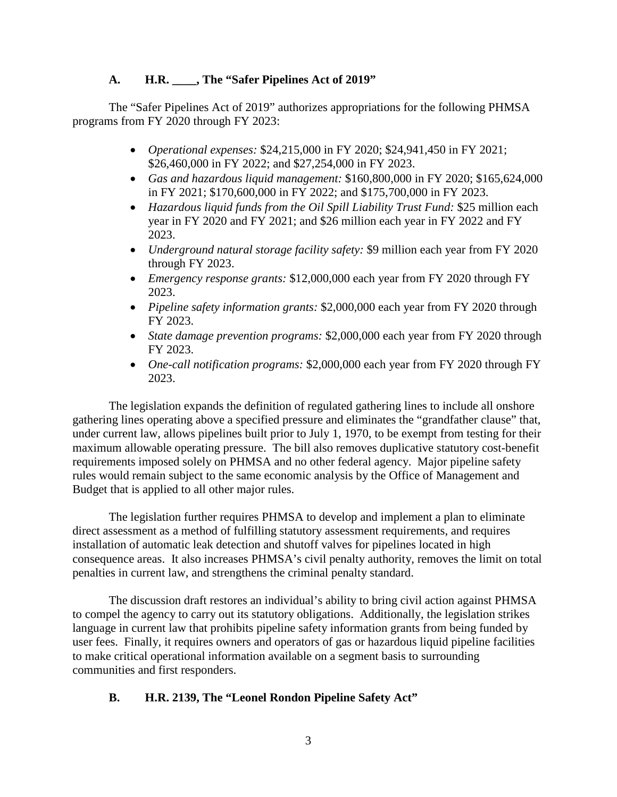## **A. H.R. \_\_\_\_, The "Safer Pipelines Act of 2019"**

The "Safer Pipelines Act of 2019" authorizes appropriations for the following PHMSA programs from FY 2020 through FY 2023:

- *Operational expenses:* \$24,215,000 in FY 2020; \$24,941,450 in FY 2021; \$26,460,000 in FY 2022; and \$27,254,000 in FY 2023.
- *Gas and hazardous liquid management:* \$160,800,000 in FY 2020; \$165,624,000 in FY 2021; \$170,600,000 in FY 2022; and \$175,700,000 in FY 2023.
- *Hazardous liquid funds from the Oil Spill Liability Trust Fund:* \$25 million each year in FY 2020 and FY 2021; and \$26 million each year in FY 2022 and FY 2023.
- *Underground natural storage facility safety:* \$9 million each year from FY 2020 through FY 2023.
- *Emergency response grants:* \$12,000,000 each year from FY 2020 through FY 2023.
- *Pipeline safety information grants:* \$2,000,000 each year from FY 2020 through FY 2023.
- *State damage prevention programs:* \$2,000,000 each year from FY 2020 through FY 2023.
- *One-call notification programs:* \$2,000,000 each year from FY 2020 through FY 2023.

The legislation expands the definition of regulated gathering lines to include all onshore gathering lines operating above a specified pressure and eliminates the "grandfather clause" that, under current law, allows pipelines built prior to July 1, 1970, to be exempt from testing for their maximum allowable operating pressure. The bill also removes duplicative statutory cost-benefit requirements imposed solely on PHMSA and no other federal agency. Major pipeline safety rules would remain subject to the same economic analysis by the Office of Management and Budget that is applied to all other major rules.

The legislation further requires PHMSA to develop and implement a plan to eliminate direct assessment as a method of fulfilling statutory assessment requirements, and requires installation of automatic leak detection and shutoff valves for pipelines located in high consequence areas. It also increases PHMSA's civil penalty authority, removes the limit on total penalties in current law, and strengthens the criminal penalty standard.

The discussion draft restores an individual's ability to bring civil action against PHMSA to compel the agency to carry out its statutory obligations. Additionally, the legislation strikes language in current law that prohibits pipeline safety information grants from being funded by user fees. Finally, it requires owners and operators of gas or hazardous liquid pipeline facilities to make critical operational information available on a segment basis to surrounding communities and first responders.

# **B. H.R. 2139, The "Leonel Rondon Pipeline Safety Act"**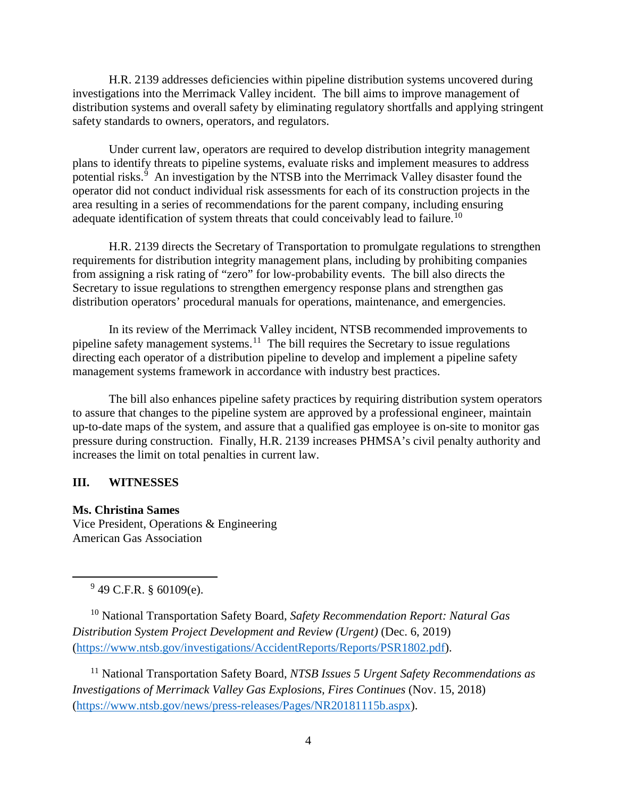H.R. 2139 addresses deficiencies within pipeline distribution systems uncovered during investigations into the Merrimack Valley incident. The bill aims to improve management of distribution systems and overall safety by eliminating regulatory shortfalls and applying stringent safety standards to owners, operators, and regulators.

Under current law, operators are required to develop distribution integrity management plans to identify threats to pipeline systems, evaluate risks and implement measures to address potential risks.<sup>[9](#page-3-0)</sup> An investigation by the NTSB into the Merrimack Valley disaster found the operator did not conduct individual risk assessments for each of its construction projects in the area resulting in a series of recommendations for the parent company, including ensuring adequate identification of system threats that could conceivably lead to failure.<sup>[10](#page-3-1)</sup>

H.R. 2139 directs the Secretary of Transportation to promulgate regulations to strengthen requirements for distribution integrity management plans, including by prohibiting companies from assigning a risk rating of "zero" for low-probability events. The bill also directs the Secretary to issue regulations to strengthen emergency response plans and strengthen gas distribution operators' procedural manuals for operations, maintenance, and emergencies.

In its review of the Merrimack Valley incident, NTSB recommended improvements to pipeline safety management systems.<sup>[11](#page-3-2)</sup> The bill requires the Secretary to issue regulations directing each operator of a distribution pipeline to develop and implement a pipeline safety management systems framework in accordance with industry best practices.

The bill also enhances pipeline safety practices by requiring distribution system operators to assure that changes to the pipeline system are approved by a professional engineer, maintain up-to-date maps of the system, and assure that a qualified gas employee is on-site to monitor gas pressure during construction. Finally, H.R. 2139 increases PHMSA's civil penalty authority and increases the limit on total penalties in current law.

# **III. WITNESSES**

#### **Ms. Christina Sames**

<span id="page-3-0"></span> $\overline{\phantom{a}}$ 

Vice President, Operations & Engineering American Gas Association

<sup>9</sup> 49 C.F.R. § 60109(e).

<span id="page-3-1"></span><sup>10</sup> National Transportation Safety Board, *Safety Recommendation Report: Natural Gas Distribution System Project Development and Review (Urgent)* (Dec. 6, 2019) [\(https://www.ntsb.gov/investigations/AccidentReports/Reports/PSR1802.pdf\)](https://www.ntsb.gov/investigations/AccidentReports/Reports/PSR1802.pdf).

<span id="page-3-2"></span><sup>11</sup> National Transportation Safety Board, *NTSB Issues 5 Urgent Safety Recommendations as Investigations of Merrimack Valley Gas Explosions, Fires Continues* (Nov. 15, 2018) [\(https://www.ntsb.gov/news/press-releases/Pages/NR20181115b.aspx\)](https://www.ntsb.gov/news/press-releases/Pages/NR20181115b.aspx).